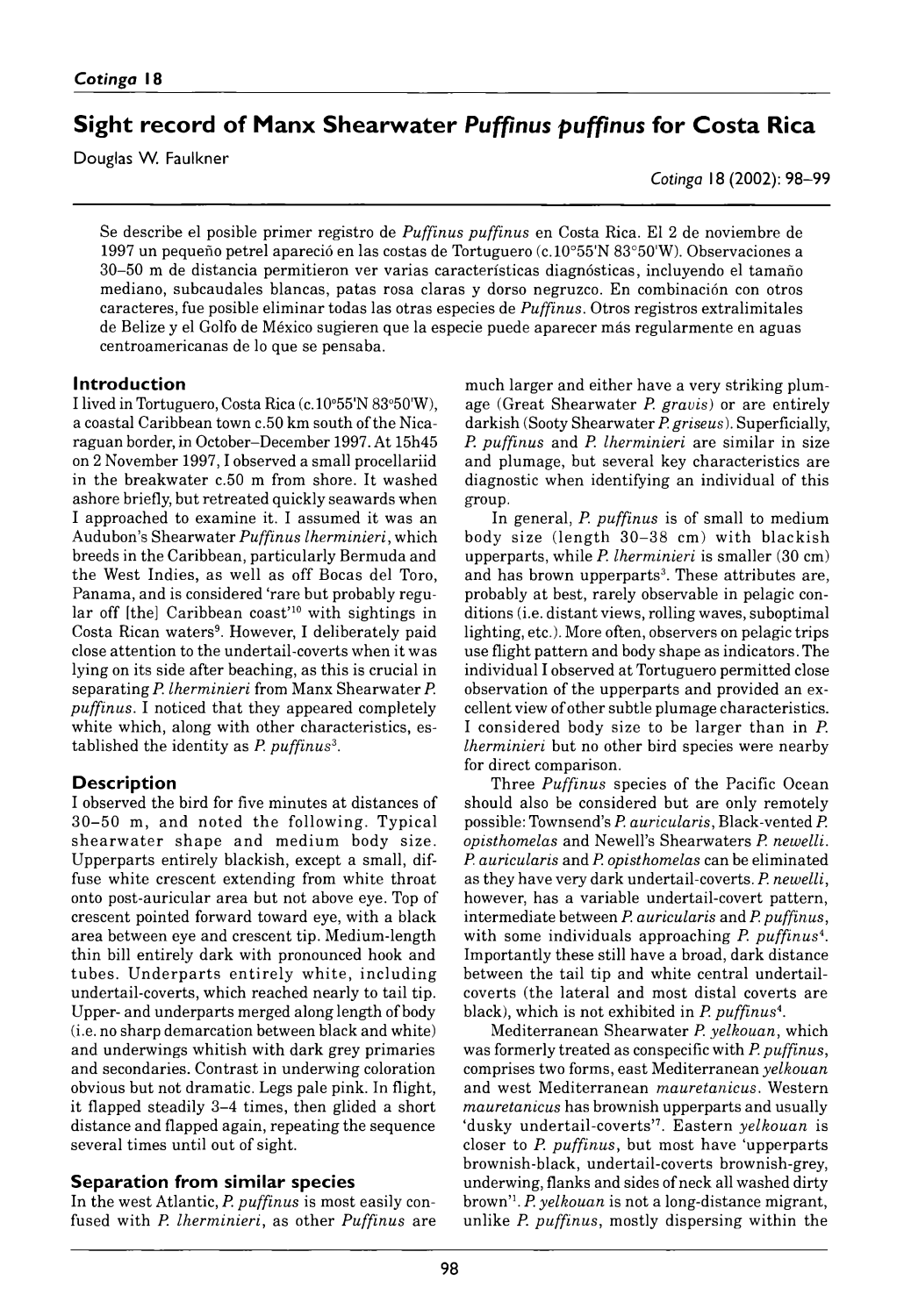# **Sight record of Manx Shearwater Puffinus puffinus for Costa Rica**

Douglas W. Faulkner

*Cotinga* 18 (2002): 98–99

Se describe el posible primer registro de *Puffinus puffinus* en Costa Rica. El 2 de noviembre de 1997 un pequeño petrel apareció en las costas de Tortuguero (*c.* 0 °55'N 83°50'W). Observaciones a 30-50 m de distancia permitieron ver varias características diagnósticas, incluyendo el tamaño mediano, subcaudales blancas, patas rosa claras y dorso negruzco. En combinación con otros caracteres, fue posible eliminar todas las otras especies de *Puffinus*. Otros registros extralimitales de Belize y el Golfo de México sugieren que la especie puede aparecer más regularmente en aguas centroamericanas de lo que se pensaba.

#### **Introduction**

I lived in Tortuguero, Costa Rica (*c.* 10°55'N 83°50'W), a coastal Caribbean town *c.* 50 km south of the Nicaraguan border, in October–December 1997. At 15h45 on 2 November 1997, I observed a small procellariid in the breakwater *c.* 50 m from shore. It washed ashore briefly, but retreated quickly seawards when I approached to examine it. I assumed it was an Audubon's Shearwater *Puffinus lherminieri*, which breeds in the Caribbean, particularly Bermuda and the West Indies, as well as off Bocas del Toro, Panama, and is considered 'rare but probably regular off [the] Caribbean coast'10 with sightings in Costa Rican waters<sup>9</sup>. However, I deliberately paid close attention to the undertail-coverts when it was lying on its side after beaching, as this is crucial in separating *P. lherminieri* from Manx Shearwater *P. puffinus*. I noticed that they appeared completely white which, along with other characteristics, established the identity as *P. puffinus*3.

## **Description**

I observed the bird for five minutes at distances of  $30-50$  m, and noted the following. Typical shearwater shape and medium body size. Upperparts entirely blackish, except a small, diffuse white crescent extending from white throat onto post-auricular area but not above eye. Top of crescent pointed forward toward eye, with a black area between eye and crescent tip. Medium-length thin bill entirely dark with pronounced hook and tubes. Underparts entirely white, including undertail-coverts, which reached nearly to tail tip. Upper- and underparts merged along length of body (i.e. no sharp demarcation between black and white) and underwings whitish with dark grey primaries and secondaries. Contrast in underwing coloration obvious but not dramatic. Legs pale pink. In flight, it flapped steadily 3–4 times, then glided a short distance and flapped again, repeating the sequence several times until out of sight.

## **Separation from similar species**

In the west Atlantic, *P. puffinus* is most easily confused with *P. lherminieri,* as other *Puffinus* are much larger and either have a very striking plumage ( Great Shearw ater *P. gravis*) or are entirely darkish (Sooty Shearwater *P. griseus*). Superficially, *P. puffinus* and *P. lherminieri* are similar in size and plumage, but several key characteristics are diagnostic when identifying an individual of this group.

In general, *P. puffinus* is of small to medium body size (length  $30-38$  cm) with blackish upperparts, while *P. lherminieri* is smaller (30 cm) and has brown upperparts<sup>3</sup>. These attributes are, probably at best, rarely observable in pelagic conditions (i.e. distant views, rolling waves, suboptimal lighting, etc.). More often, observers on pelagic trips use flight pattern and body shape as indicators. The individual I observed at Tortuguero permitted close observation of the upperparts and provided an excellent view of other subtle plumage characteristics. I considered body size to be larger than in *P*. *lherminieri* but no other bird species were nearby for direct comparison.

Three *Puffinus* species of the Pacific Ocean should also be considered but are only remotely possible: Townsend's *P. auricularis*, Black-vented *P. opisthomelas* and Newell's Shearwaters *P. newelli. P. auricularis* an d *P. opisthomelas* can be eliminated as they have very dark undertail-coverts. *P. newelli*, however, has a variable undertail-covert pattern, intermediate between *P. auricularis* and *P. puffinus*, with some individuals approaching *P. puffinus*4. Importantly these still have a broad, dark distance between the tail tip and white central undertailcoverts ( the lateral and most distal coverts are black), which is not exhibited in *P. puffinus*4.

M editerranean Shearwater *P. yelkouan*, which was formerly treated as conspecific with *P. puffinus*, comprises two forms, east Mediterranean *yelkouan* and west Mediterranean *mauretanicus*. Western *mauretanicus* has brownish upperparts and usually 'dusky undertail-coverts'7. E astern *yelkouan* is closer to *P. puffinus,* but most have 'upperparts brownish-black, undertail-coverts brownish-grey, underwing, flanks and sides of neck all washed dirty brown'1. *P. yelkouan* is not a long-distance migrant, unlike *P. puffinus*, mostly dispersing within the